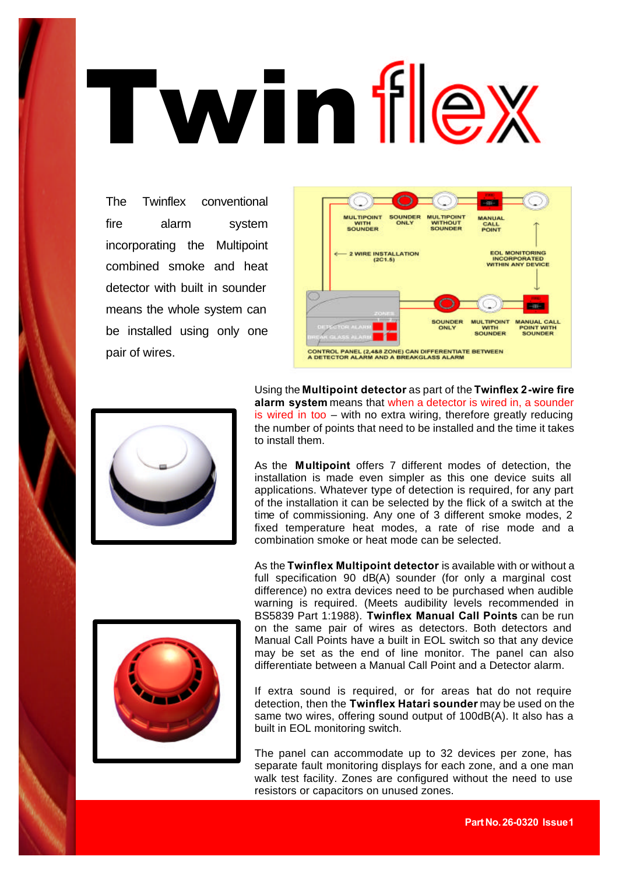## Twin flex

The Twinflex conventional fire alarm system incorporating the Multipoint combined smoke and heat detector with built in sounder means the whole system can be installed using only one pair of wires.





Using the **Multipoint detector** as part of the **Twinflex 2-wire fire alarm system** means that when a detector is wired in, a sounder is wired in too – with no extra wiring, therefore greatly reducing the number of points that need to be installed and the time it takes to install them.

As the **Multipoint** offers 7 different modes of detection, the installation is made even simpler as this one device suits all applications. Whatever type of detection is required, for any part of the installation it can be selected by the flick of a switch at the time of commissioning. Any one of 3 different smoke modes, 2 fixed temperature heat modes, a rate of rise mode and a combination smoke or heat mode can be selected.



As the **Twinflex Multipoint detector** is available with or without a full specification 90 dB(A) sounder (for only a marginal cost difference) no extra devices need to be purchased when audible warning is required. (Meets audibility levels recommended in BS5839 Part 1:1988). **Twinflex Manual Call Points** can be run on the same pair of wires as detectors. Both detectors and Manual Call Points have a built in EOL switch so that any device may be set as the end of line monitor. The panel can also differentiate between a Manual Call Point and a Detector alarm.

If extra sound is required, or for areas hat do not require detection, then the **Twinflex Hatari sounder** may be used on the same two wires, offering sound output of 100dB(A). It also has a built in EOL monitoring switch.

The panel can accommodate up to 32 devices per zone, has separate fault monitoring displays for each zone, and a one man walk test facility. Zones are configured without the need to use resistors or capacitors on unused zones.